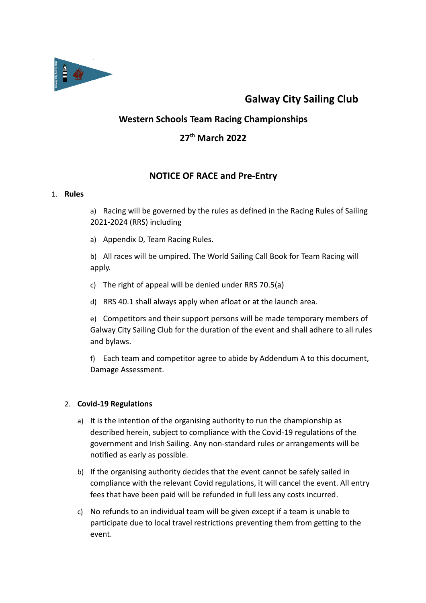

# Galway City Sailing Club

# Western Schools Team Racing Championships

# 27<sup>th</sup> March 2022

# NOTICE OF RACE and Pre-Entry

# 1. Rules

a) Racing will be governed by the rules as defined in the Racing Rules of Sailing 2021-2024 (RRS) including

a) Appendix D, Team Racing Rules.

b) All races will be umpired. The World Sailing Call Book for Team Racing will apply.

- c) The right of appeal will be denied under RRS 70.5(a)
- d) RRS 40.1 shall always apply when afloat or at the launch area.

e) Competitors and their support persons will be made temporary members of Galway City Sailing Club for the duration of the event and shall adhere to all rules and bylaws.

f) Each team and competitor agree to abide by Addendum A to this document, Damage Assessment.

# 2. Covid-19 Regulations

- a) It is the intention of the organising authority to run the championship as described herein, subject to compliance with the Covid-19 regulations of the government and Irish Sailing. Any non-standard rules or arrangements will be notified as early as possible.
- b) If the organising authority decides that the event cannot be safely sailed in compliance with the relevant Covid regulations, it will cancel the event. All entry fees that have been paid will be refunded in full less any costs incurred.
- c) No refunds to an individual team will be given except if a team is unable to participate due to local travel restrictions preventing them from getting to the event.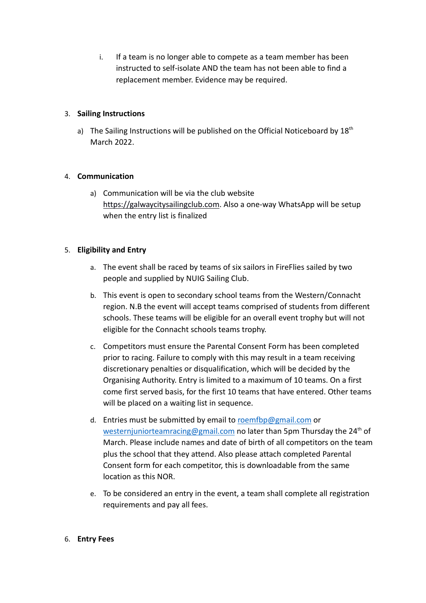i. If a team is no longer able to compete as a team member has been instructed to self-isolate AND the team has not been able to find a replacement member. Evidence may be required.

# 3. Sailing Instructions

a) The Sailing Instructions will be published on the Official Noticeboard by  $18<sup>th</sup>$ March 2022.

# 4. Communication

a) Communication will be via the club website https://galwaycitysailingclub.com. Also a one-way WhatsApp will be setup when the entry list is finalized

# 5. Eligibility and Entry

- a. The event shall be raced by teams of six sailors in FireFlies sailed by two people and supplied by NUIG Sailing Club.
- b. This event is open to secondary school teams from the Western/Connacht region. N.B the event will accept teams comprised of students from different schools. These teams will be eligible for an overall event trophy but will not eligible for the Connacht schools teams trophy.
- c. Competitors must ensure the Parental Consent Form has been completed prior to racing. Failure to comply with this may result in a team receiving discretionary penalties or disqualification, which will be decided by the Organising Authority. Entry is limited to a maximum of 10 teams. On a first come first served basis, for the first 10 teams that have entered. Other teams will be placed on a waiting list in sequence.
- d. Entries must be submitted by email to roemfbp@gmail.com or westernjuniorteamracing@gmail.com no later than 5pm Thursday the 24<sup>th</sup> of March. Please include names and date of birth of all competitors on the team plus the school that they attend. Also please attach completed Parental Consent form for each competitor, this is downloadable from the same location as this NOR.
- e. To be considered an entry in the event, a team shall complete all registration requirements and pay all fees.

#### 6. Entry Fees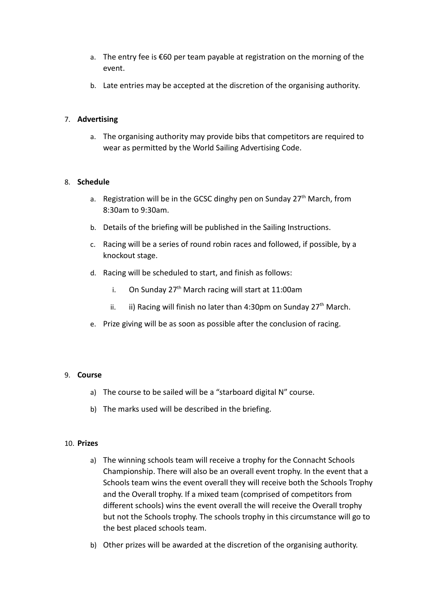- a. The entry fee is €60 per team payable at registration on the morning of the event.
- b. Late entries may be accepted at the discretion of the organising authority.

# 7. Advertising

a. The organising authority may provide bibs that competitors are required to wear as permitted by the World Sailing Advertising Code.

#### 8. Schedule

- a. Registration will be in the GCSC dinghy pen on Sunday 27<sup>th</sup> March, from 8:30am to 9:30am.
- b. Details of the briefing will be published in the Sailing Instructions.
- c. Racing will be a series of round robin races and followed, if possible, by a knockout stage.
- d. Racing will be scheduled to start, and finish as follows:
	- i. On Sunday  $27<sup>th</sup>$  March racing will start at 11:00am
	- ii. ii) Racing will finish no later than 4:30pm on Sunday  $27<sup>th</sup>$  March.
- e. Prize giving will be as soon as possible after the conclusion of racing.

#### 9. Course

- a) The course to be sailed will be a "starboard digital N" course.
- b) The marks used will be described in the briefing.

#### 10. Prizes

- a) The winning schools team will receive a trophy for the Connacht Schools Championship. There will also be an overall event trophy. In the event that a Schools team wins the event overall they will receive both the Schools Trophy and the Overall trophy. If a mixed team (comprised of competitors from different schools) wins the event overall the will receive the Overall trophy but not the Schools trophy. The schools trophy in this circumstance will go to the best placed schools team.
- b) Other prizes will be awarded at the discretion of the organising authority.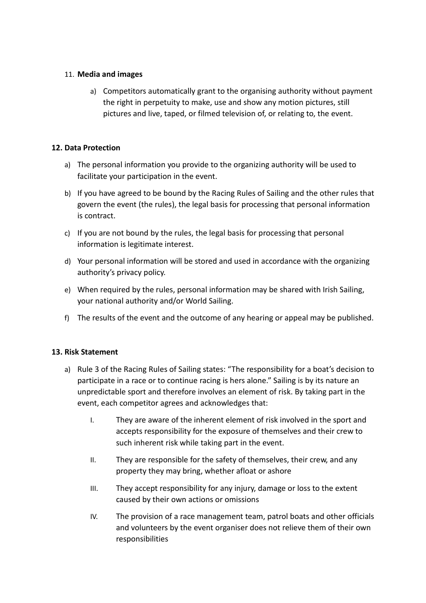# 11. Media and images

a) Competitors automatically grant to the organising authority without payment the right in perpetuity to make, use and show any motion pictures, still pictures and live, taped, or filmed television of, or relating to, the event.

# 12. Data Protection

- a) The personal information you provide to the organizing authority will be used to facilitate your participation in the event.
- b) If you have agreed to be bound by the Racing Rules of Sailing and the other rules that govern the event (the rules), the legal basis for processing that personal information is contract.
- c) If you are not bound by the rules, the legal basis for processing that personal information is legitimate interest.
- d) Your personal information will be stored and used in accordance with the organizing authority's privacy policy.
- e) When required by the rules, personal information may be shared with Irish Sailing, your national authority and/or World Sailing.
- f) The results of the event and the outcome of any hearing or appeal may be published.

# 13. Risk Statement

- a) Rule 3 of the Racing Rules of Sailing states: "The responsibility for a boat's decision to participate in a race or to continue racing is hers alone." Sailing is by its nature an unpredictable sport and therefore involves an element of risk. By taking part in the event, each competitor agrees and acknowledges that:
	- I. They are aware of the inherent element of risk involved in the sport and accepts responsibility for the exposure of themselves and their crew to such inherent risk while taking part in the event.
	- II. They are responsible for the safety of themselves, their crew, and any property they may bring, whether afloat or ashore
	- III. They accept responsibility for any injury, damage or loss to the extent caused by their own actions or omissions
	- IV. The provision of a race management team, patrol boats and other officials and volunteers by the event organiser does not relieve them of their own responsibilities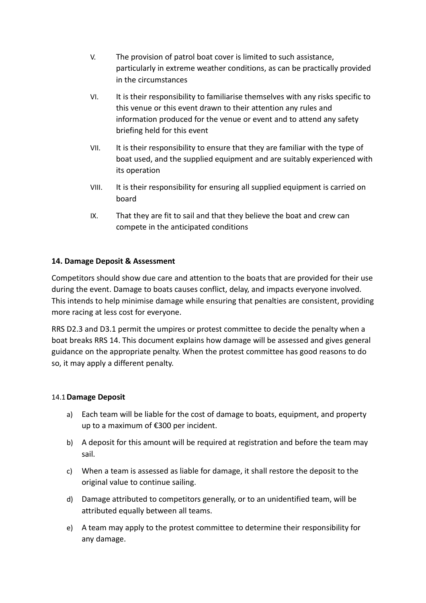- V. The provision of patrol boat cover is limited to such assistance, particularly in extreme weather conditions, as can be practically provided in the circumstances
- VI. It is their responsibility to familiarise themselves with any risks specific to this venue or this event drawn to their attention any rules and information produced for the venue or event and to attend any safety briefing held for this event
- VII. It is their responsibility to ensure that they are familiar with the type of boat used, and the supplied equipment and are suitably experienced with its operation
- VIII. It is their responsibility for ensuring all supplied equipment is carried on board
- IX. That they are fit to sail and that they believe the boat and crew can compete in the anticipated conditions

# 14. Damage Deposit & Assessment

Competitors should show due care and attention to the boats that are provided for their use during the event. Damage to boats causes conflict, delay, and impacts everyone involved. This intends to help minimise damage while ensuring that penalties are consistent, providing more racing at less cost for everyone.

RRS D2.3 and D3.1 permit the umpires or protest committee to decide the penalty when a boat breaks RRS 14. This document explains how damage will be assessed and gives general guidance on the appropriate penalty. When the protest committee has good reasons to do so, it may apply a different penalty.

# 14.1Damage Deposit

- a) Each team will be liable for the cost of damage to boats, equipment, and property up to a maximum of €300 per incident.
- b) A deposit for this amount will be required at registration and before the team may sail.
- c) When a team is assessed as liable for damage, it shall restore the deposit to the original value to continue sailing.
- d) Damage attributed to competitors generally, or to an unidentified team, will be attributed equally between all teams.
- e) A team may apply to the protest committee to determine their responsibility for any damage.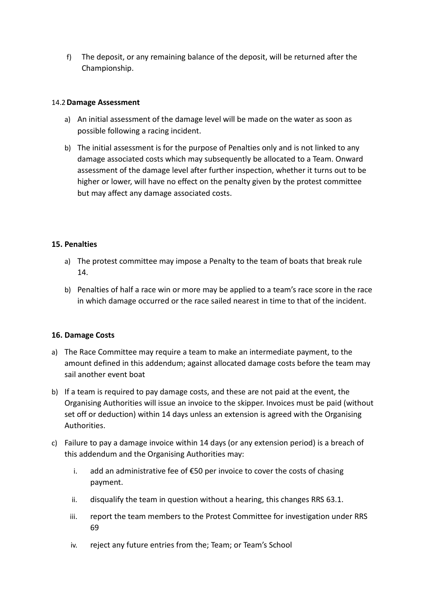f) The deposit, or any remaining balance of the deposit, will be returned after the Championship.

# 14.2Damage Assessment

- a) An initial assessment of the damage level will be made on the water as soon as possible following a racing incident.
- b) The initial assessment is for the purpose of Penalties only and is not linked to any damage associated costs which may subsequently be allocated to a Team. Onward assessment of the damage level after further inspection, whether it turns out to be higher or lower, will have no effect on the penalty given by the protest committee but may affect any damage associated costs.

# 15. Penalties

- a) The protest committee may impose a Penalty to the team of boats that break rule 14.
- b) Penalties of half a race win or more may be applied to a team's race score in the race in which damage occurred or the race sailed nearest in time to that of the incident.

# 16. Damage Costs

- a) The Race Committee may require a team to make an intermediate payment, to the amount defined in this addendum; against allocated damage costs before the team may sail another event boat
- b) If a team is required to pay damage costs, and these are not paid at the event, the Organising Authorities will issue an invoice to the skipper. Invoices must be paid (without set off or deduction) within 14 days unless an extension is agreed with the Organising Authorities.
- c) Failure to pay a damage invoice within 14 days (or any extension period) is a breach of this addendum and the Organising Authorities may:
	- i. add an administrative fee of €50 per invoice to cover the costs of chasing payment.
	- ii. disqualify the team in question without a hearing, this changes RRS 63.1.
	- iii. report the team members to the Protest Committee for investigation under RRS 69
	- iv. reject any future entries from the; Team; or Team's School